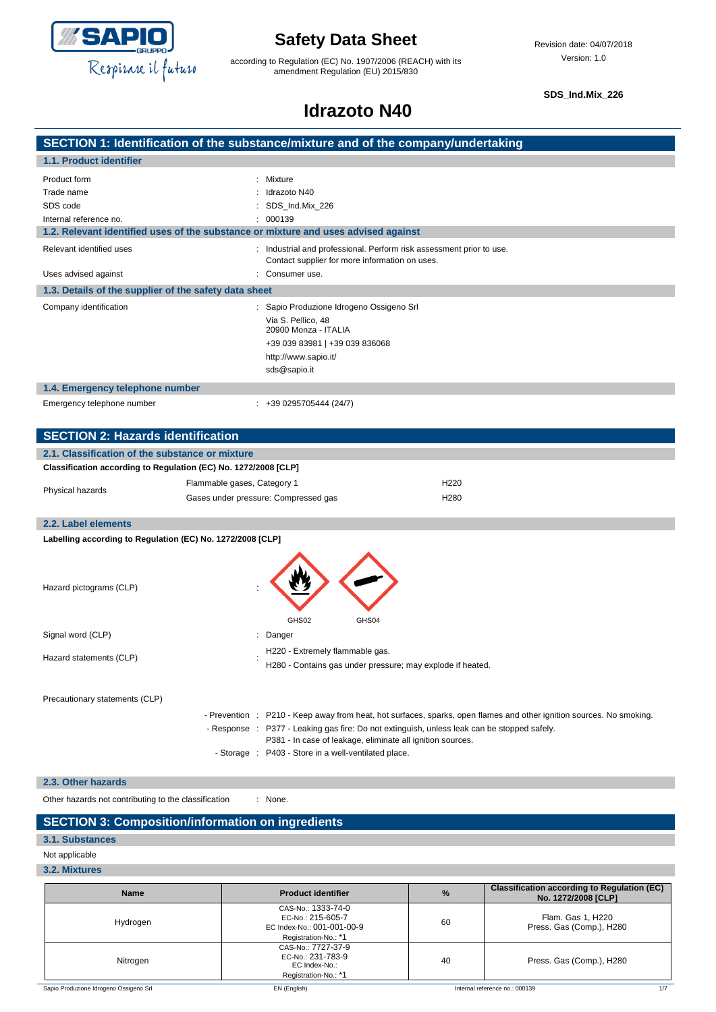

according to Regulation (EC) No. 1907/2006 (REACH) with its amendment Regulation (EU) 2015/830

**SDS\_Ind.Mix\_226**

## **Idrazoto N40**

| Mixture                                                                                                              |
|----------------------------------------------------------------------------------------------------------------------|
| Idrazoto N40                                                                                                         |
| SDS_Ind.Mix_226                                                                                                      |
| 000139                                                                                                               |
| 1.2. Relevant identified uses of the substance or mixture and uses advised against                                   |
| Industrial and professional. Perform risk assessment prior to use.<br>Contact supplier for more information on uses. |
| Consumer use.                                                                                                        |
| 1.3. Details of the supplier of the safety data sheet                                                                |
| : Sapio Produzione Idrogeno Ossigeno Srl                                                                             |
| Via S. Pellico, 48<br>20900 Monza - ITALIA                                                                           |
| +39 039 83981   +39 039 836068                                                                                       |
| http://www.sapio.it/                                                                                                 |
| sds@sapio.it                                                                                                         |
|                                                                                                                      |
| +39 0295705444 (24/7)                                                                                                |
|                                                                                                                      |

| Classification according to Regulation (EC) No. 1272/2008 [CLP] |                                      |                  |  |
|-----------------------------------------------------------------|--------------------------------------|------------------|--|
| Physical hazards                                                | Flammable gases, Category 1          | H <sub>220</sub> |  |
|                                                                 | Gases under pressure: Compressed gas | H <sub>280</sub> |  |
| .                                                               |                                      |                  |  |

#### **2.2. Label elements Labelling according to Regulation (EC) No. 1272/2008 [CLP]**

| Hazard pictograms (CLP)        |  | GHS02<br>GHS04                                                                                                                                            |  |
|--------------------------------|--|-----------------------------------------------------------------------------------------------------------------------------------------------------------|--|
| Signal word (CLP)              |  | : Danger                                                                                                                                                  |  |
| Hazard statements (CLP)        |  | H220 - Extremely flammable gas.<br>H280 - Contains gas under pressure; may explode if heated.                                                             |  |
| Precautionary statements (CLP) |  |                                                                                                                                                           |  |
|                                |  | - Prevention : P210 - Keep away from heat, hot surfaces, sparks, open flames and other ignition sources. No smoking.                                      |  |
|                                |  | - Response : P377 - Leaking gas fire: Do not extinguish, unless leak can be stopped safely.<br>P381 - In case of leakage, eliminate all ignition sources. |  |
|                                |  | - Storage : P403 - Store in a well-ventilated place.                                                                                                      |  |

### **2.3. Other hazards**

Other hazards not contributing to the classification : None.

## **SECTION 3: Composition/information on ingredients**

**3.1. Substances**

### Not applicable

### **3.2. Mixtures**

| <b>Name</b>                            | <b>Product identifier</b>                                                                     | $\frac{9}{6}$ | <b>Classification according to Regulation (EC)</b><br>No. 1272/2008 [CLP] |
|----------------------------------------|-----------------------------------------------------------------------------------------------|---------------|---------------------------------------------------------------------------|
| Hydrogen                               | CAS-No.: 1333-74-0<br>EC-No.: 215-605-7<br>EC Index-No.: 001-001-00-9<br>Registration-No.: *1 | 60            | Flam. Gas 1, H220<br>Press. Gas (Comp.), H280                             |
| Nitrogen                               | CAS-No.: 7727-37-9<br>EC-No.: 231-783-9<br>EC Index-No.:<br>Registration-No.: *1              | 40            | Press. Gas (Comp.), H280                                                  |
| Sapio Produzione Idrogeno Ossigeno Srl | EN (English)                                                                                  |               | Internal reference no.: 000139<br>1/7                                     |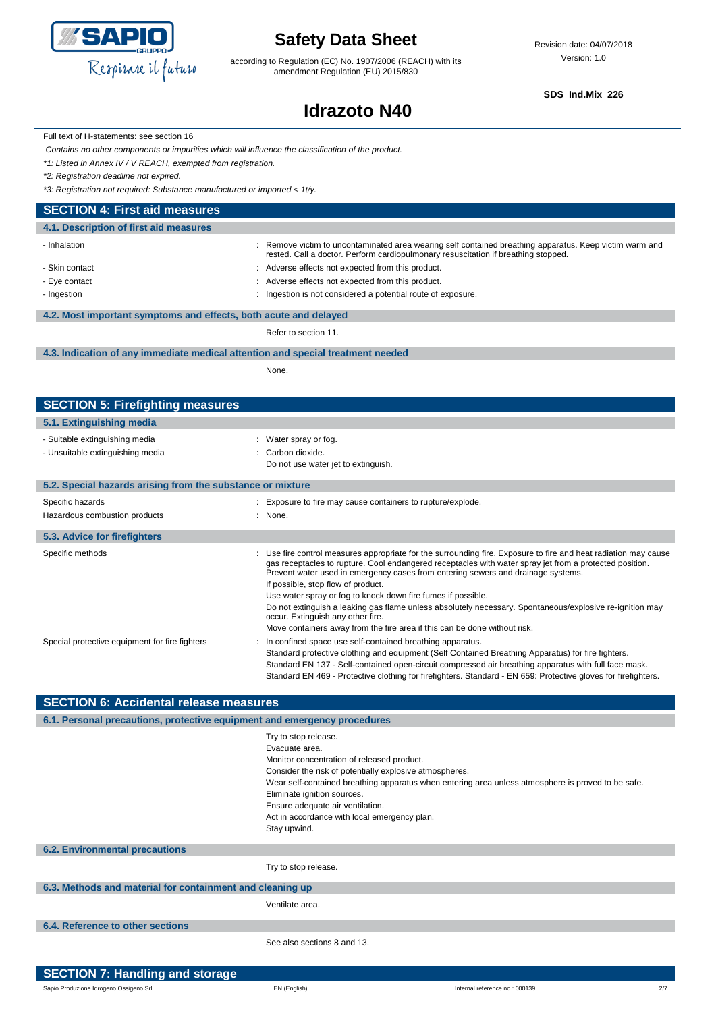

according to Regulation (EC) No. 1907/2006 (REACH) with its amendment Regulation (EU) 2015/830

**SDS\_Ind.Mix\_226**

# **Idrazoto N40**

Full text of H-statements: see section 16

*Contains no other components or impurities which will influence the classification of the product.*

*\*1: Listed in Annex IV / V REACH, exempted from registration.*

*\*2: Registration deadline not expired.*

I

*\*3: Registration not required: Substance manufactured or imported < 1t/y.*

### **SECTION 4: First aid measures**

| : Remove victim to uncontaminated area wearing self contained breathing apparatus. Keep victim warm and<br>rested. Call a doctor. Perform cardiopulmonary resuscitation if breathing stopped. |
|-----------------------------------------------------------------------------------------------------------------------------------------------------------------------------------------------|
| : Adverse effects not expected from this product.                                                                                                                                             |
| Adverse effects not expected from this product.                                                                                                                                               |
| Ingestion is not considered a potential route of exposure.                                                                                                                                    |
|                                                                                                                                                                                               |
| 4.2. Most important symptoms and effects, both acute and delayed                                                                                                                              |
|                                                                                                                                                                                               |

Refer to section 11.

#### **4.3. Indication of any immediate medical attention and special treatment needed**

None.

| <b>SECTION 5: Firefighting measures</b>                            |                                                                                                                                                                                                                                                                                                                                                                                                                                                                                                                                                                                                                                                    |
|--------------------------------------------------------------------|----------------------------------------------------------------------------------------------------------------------------------------------------------------------------------------------------------------------------------------------------------------------------------------------------------------------------------------------------------------------------------------------------------------------------------------------------------------------------------------------------------------------------------------------------------------------------------------------------------------------------------------------------|
| 5.1. Extinguishing media                                           |                                                                                                                                                                                                                                                                                                                                                                                                                                                                                                                                                                                                                                                    |
| - Suitable extinguishing media<br>- Unsuitable extinguishing media | : Water spray or fog.<br>: Carbon dioxide.<br>Do not use water jet to extinguish.                                                                                                                                                                                                                                                                                                                                                                                                                                                                                                                                                                  |
| 5.2. Special hazards arising from the substance or mixture         |                                                                                                                                                                                                                                                                                                                                                                                                                                                                                                                                                                                                                                                    |
| Specific hazards<br>Hazardous combustion products                  | : Exposure to fire may cause containers to rupture/explode.<br>: None.                                                                                                                                                                                                                                                                                                                                                                                                                                                                                                                                                                             |
| 5.3. Advice for firefighters                                       |                                                                                                                                                                                                                                                                                                                                                                                                                                                                                                                                                                                                                                                    |
| Specific methods                                                   | : Use fire control measures appropriate for the surrounding fire. Exposure to fire and heat radiation may cause<br>gas receptacles to rupture. Cool endangered receptacles with water spray jet from a protected position.<br>Prevent water used in emergency cases from entering sewers and drainage systems.<br>If possible, stop flow of product.<br>Use water spray or fog to knock down fire fumes if possible.<br>Do not extinguish a leaking gas flame unless absolutely necessary. Spontaneous/explosive re-ignition may<br>occur. Extinguish any other fire.<br>Move containers away from the fire area if this can be done without risk. |
| Special protective equipment for fire fighters                     | In confined space use self-contained breathing apparatus.<br>Standard protective clothing and equipment (Self Contained Breathing Apparatus) for fire fighters.<br>Standard EN 137 - Self-contained open-circuit compressed air breathing apparatus with full face mask.<br>Standard EN 469 - Protective clothing for firefighters. Standard - EN 659: Protective gloves for firefighters.                                                                                                                                                                                                                                                         |

### **SECTION 6: Accidental release measures**

| 6.1. Personal precautions, protective equipment and emergency procedures |                                                                                                                                                                                                                                                                                                                                                                                          |
|--------------------------------------------------------------------------|------------------------------------------------------------------------------------------------------------------------------------------------------------------------------------------------------------------------------------------------------------------------------------------------------------------------------------------------------------------------------------------|
|                                                                          | Try to stop release.<br>Evacuate area.<br>Monitor concentration of released product.<br>Consider the risk of potentially explosive atmospheres.<br>Wear self-contained breathing apparatus when entering area unless atmosphere is proved to be safe.<br>Eliminate ignition sources.<br>Ensure adequate air ventilation.<br>Act in accordance with local emergency plan.<br>Stay upwind. |
| <b>6.2. Environmental precautions</b>                                    |                                                                                                                                                                                                                                                                                                                                                                                          |
|                                                                          | Try to stop release.                                                                                                                                                                                                                                                                                                                                                                     |
| 6.3. Methods and material for containment and cleaning up                |                                                                                                                                                                                                                                                                                                                                                                                          |
|                                                                          | Ventilate area.                                                                                                                                                                                                                                                                                                                                                                          |
| 6.4. Reference to other sections                                         |                                                                                                                                                                                                                                                                                                                                                                                          |
|                                                                          | See also sections 8 and 13.                                                                                                                                                                                                                                                                                                                                                              |

| SECTION 7: Handling and storage        |              |                                |  |
|----------------------------------------|--------------|--------------------------------|--|
| Sapio Produzione Idrogeno Ossigeno Srl | EN (English) | Internal reference no.: 000139 |  |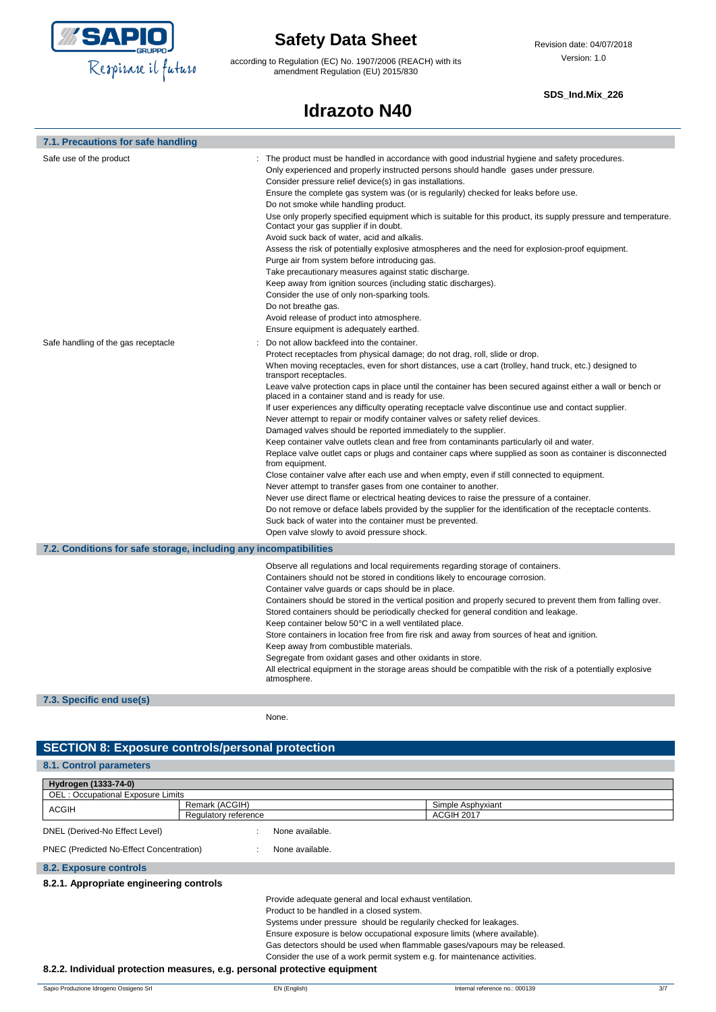

according to Regulation (EC) No. 1907/2006 (REACH) with its amendment Regulation (EU) 2015/830

### **SDS\_Ind.Mix\_226**

# **Idrazoto N40**

| 7.1. Precautions for safe handling                                |                                                                                                                                                                                                                                                                                                                                                                                                                                                                                                                                                                                                                                                                                                                                                                                                                                                                                                                                                                                                                                                                                                                                                                                                                                                                                                                                                                                                             |
|-------------------------------------------------------------------|-------------------------------------------------------------------------------------------------------------------------------------------------------------------------------------------------------------------------------------------------------------------------------------------------------------------------------------------------------------------------------------------------------------------------------------------------------------------------------------------------------------------------------------------------------------------------------------------------------------------------------------------------------------------------------------------------------------------------------------------------------------------------------------------------------------------------------------------------------------------------------------------------------------------------------------------------------------------------------------------------------------------------------------------------------------------------------------------------------------------------------------------------------------------------------------------------------------------------------------------------------------------------------------------------------------------------------------------------------------------------------------------------------------|
| Safe use of the product                                           | : The product must be handled in accordance with good industrial hygiene and safety procedures.<br>Only experienced and properly instructed persons should handle gases under pressure.<br>Consider pressure relief device(s) in gas installations.<br>Ensure the complete gas system was (or is regularily) checked for leaks before use.<br>Do not smoke while handling product.<br>Use only properly specified equipment which is suitable for this product, its supply pressure and temperature.<br>Contact your gas supplier if in doubt.<br>Avoid suck back of water, acid and alkalis.<br>Assess the risk of potentially explosive atmospheres and the need for explosion-proof equipment.<br>Purge air from system before introducing gas.<br>Take precautionary measures against static discharge.<br>Keep away from ignition sources (including static discharges).<br>Consider the use of only non-sparking tools.<br>Do not breathe gas.<br>Avoid release of product into atmosphere.<br>Ensure equipment is adequately earthed.                                                                                                                                                                                                                                                                                                                                                                |
| Safe handling of the gas receptacle                               | Do not allow backfeed into the container.<br>Protect receptacles from physical damage; do not drag, roll, slide or drop.<br>When moving receptacles, even for short distances, use a cart (trolley, hand truck, etc.) designed to<br>transport receptacles.<br>Leave valve protection caps in place until the container has been secured against either a wall or bench or<br>placed in a container stand and is ready for use.<br>If user experiences any difficulty operating receptacle valve discontinue use and contact supplier.<br>Never attempt to repair or modify container valves or safety relief devices.<br>Damaged valves should be reported immediately to the supplier.<br>Keep container valve outlets clean and free from contaminants particularly oil and water.<br>Replace valve outlet caps or plugs and container caps where supplied as soon as container is disconnected<br>from equipment.<br>Close container valve after each use and when empty, even if still connected to equipment.<br>Never attempt to transfer gases from one container to another.<br>Never use direct flame or electrical heating devices to raise the pressure of a container.<br>Do not remove or deface labels provided by the supplier for the identification of the receptacle contents.<br>Suck back of water into the container must be prevented.<br>Open valve slowly to avoid pressure shock. |
| 7.2. Conditions for safe storage, including any incompatibilities |                                                                                                                                                                                                                                                                                                                                                                                                                                                                                                                                                                                                                                                                                                                                                                                                                                                                                                                                                                                                                                                                                                                                                                                                                                                                                                                                                                                                             |
|                                                                   | Observe all regulations and local requirements regarding storage of containers.<br>Containers should not be stored in conditions likely to encourage corrosion.<br>Container valve guards or caps should be in place.<br>Containers should be stored in the vertical position and properly secured to prevent them from falling over.<br>Stored containers should be periodically checked for general condition and leakage.<br>Keep container below 50°C in a well ventilated place.<br>Store containers in location free from fire risk and away from sources of heat and ignition.<br>Keep away from combustible materials.<br>Segregate from oxidant gases and other oxidants in store.<br>All electrical equipment in the storage areas should be compatible with the risk of a potentially explosive<br>atmosphere.                                                                                                                                                                                                                                                                                                                                                                                                                                                                                                                                                                                   |

**7.3. Specific end use(s)**

None.

### **SECTION 8: Exposure controls/personal protection**

### **8.1. Control parameters**

| Hydrogen (1333-74-0)                                                      |                                                         |                                                                            |  |
|---------------------------------------------------------------------------|---------------------------------------------------------|----------------------------------------------------------------------------|--|
| <b>OEL: Occupational Exposure Limits</b>                                  |                                                         |                                                                            |  |
| ACGIH                                                                     | Remark (ACGIH)                                          | Simple Asphyxiant                                                          |  |
|                                                                           | Regulatory reference                                    | ACGIH 2017                                                                 |  |
| DNEL (Derived-No Effect Level)                                            | None available.                                         |                                                                            |  |
| PNEC (Predicted No-Effect Concentration)                                  | None available.                                         |                                                                            |  |
| 8.2. Exposure controls                                                    |                                                         |                                                                            |  |
| 8.2.1. Appropriate engineering controls                                   |                                                         |                                                                            |  |
|                                                                           | Provide adequate general and local exhaust ventilation. |                                                                            |  |
|                                                                           | Product to be handled in a closed system.               |                                                                            |  |
|                                                                           |                                                         | Systems under pressure should be regularily checked for leakages.          |  |
|                                                                           |                                                         | Ensure exposure is below occupational exposure limits (where available).   |  |
|                                                                           |                                                         | Gas detectors should be used when flammable gases/vapours may be released. |  |
|                                                                           |                                                         | Consider the use of a work permit system e.g. for maintenance activities.  |  |
| 8.2.2. Individual protection measures, e.g. personal protective equipment |                                                         |                                                                            |  |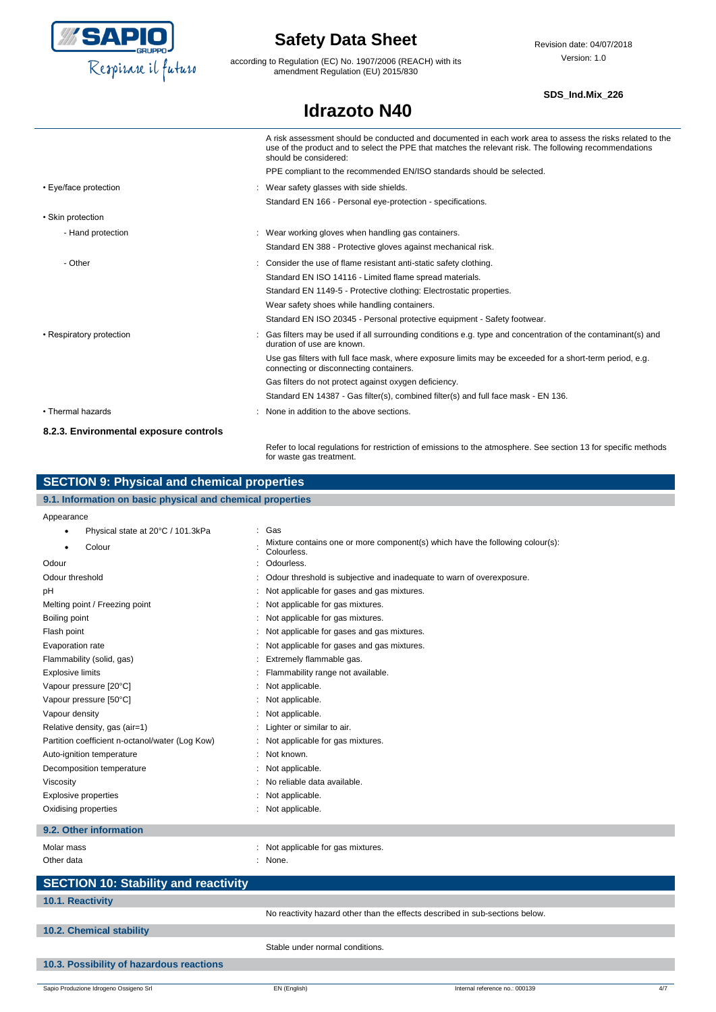

according to Regulation (EC) No. 1907/2006 (REACH) with its amendment Regulation (EU) 2015/830

**Idrazoto N40**

### **SDS\_Ind.Mix\_226**

|                                        | A risk assessment should be conducted and documented in each work area to assess the risks related to the<br>use of the product and to select the PPE that matches the relevant risk. The following recommendations<br>should be considered: |
|----------------------------------------|----------------------------------------------------------------------------------------------------------------------------------------------------------------------------------------------------------------------------------------------|
|                                        | PPE compliant to the recommended EN/ISO standards should be selected.                                                                                                                                                                        |
| • Eye/face protection                  | : Wear safety glasses with side shields.                                                                                                                                                                                                     |
|                                        | Standard EN 166 - Personal eye-protection - specifications.                                                                                                                                                                                  |
| • Skin protection                      |                                                                                                                                                                                                                                              |
| - Hand protection                      | : Wear working gloves when handling gas containers.                                                                                                                                                                                          |
|                                        | Standard EN 388 - Protective gloves against mechanical risk.                                                                                                                                                                                 |
| - Other                                | : Consider the use of flame resistant anti-static safety clothing.                                                                                                                                                                           |
|                                        | Standard EN ISO 14116 - Limited flame spread materials.                                                                                                                                                                                      |
|                                        | Standard EN 1149-5 - Protective clothing: Electrostatic properties.                                                                                                                                                                          |
|                                        | Wear safety shoes while handling containers.                                                                                                                                                                                                 |
|                                        | Standard EN ISO 20345 - Personal protective equipment - Safety footwear.                                                                                                                                                                     |
| • Respiratory protection               | : Gas filters may be used if all surrounding conditions e.g. type and concentration of the contaminant(s) and<br>duration of use are known.                                                                                                  |
|                                        | Use gas filters with full face mask, where exposure limits may be exceeded for a short-term period, e.g.<br>connecting or disconnecting containers.                                                                                          |
|                                        | Gas filters do not protect against oxygen deficiency.                                                                                                                                                                                        |
|                                        | Standard EN 14387 - Gas filter(s), combined filter(s) and full face mask - EN 136.                                                                                                                                                           |
| • Thermal hazards                      | : None in addition to the above sections.                                                                                                                                                                                                    |
| 8.2.3. Environmental exposure controls |                                                                                                                                                                                                                                              |
|                                        | Refer to local regulations for restriction of emissions to the atmosphere. See section 13 for specific methods                                                                                                                               |

for waste gas treatment.

| <b>SECTION 9: Physical and chemical properties</b>         |                                                                                              |  |  |  |
|------------------------------------------------------------|----------------------------------------------------------------------------------------------|--|--|--|
| 9.1. Information on basic physical and chemical properties |                                                                                              |  |  |  |
| Appearance                                                 |                                                                                              |  |  |  |
| Physical state at 20°C / 101.3kPa                          | Gas                                                                                          |  |  |  |
| Colour                                                     | Mixture contains one or more component(s) which have the following colour(s):<br>Colourless. |  |  |  |
| Odour                                                      | Odourless.                                                                                   |  |  |  |
| Odour threshold                                            | Odour threshold is subjective and inadequate to warn of overexposure.                        |  |  |  |
| pH                                                         | Not applicable for gases and gas mixtures.                                                   |  |  |  |
| Melting point / Freezing point                             | Not applicable for gas mixtures.                                                             |  |  |  |
| Boiling point                                              | Not applicable for gas mixtures.                                                             |  |  |  |
| Flash point                                                | Not applicable for gases and gas mixtures.                                                   |  |  |  |
| Evaporation rate                                           | Not applicable for gases and gas mixtures.                                                   |  |  |  |
| Flammability (solid, gas)                                  | Extremely flammable gas.                                                                     |  |  |  |
| <b>Explosive limits</b>                                    | Flammability range not available.                                                            |  |  |  |
| Vapour pressure [20°C]                                     | Not applicable.                                                                              |  |  |  |
| Vapour pressure [50°C]                                     | Not applicable.                                                                              |  |  |  |
| Vapour density                                             | Not applicable.                                                                              |  |  |  |
| Relative density, gas (air=1)                              | Lighter or similar to air.                                                                   |  |  |  |
| Partition coefficient n-octanol/water (Log Kow)            | Not applicable for gas mixtures.                                                             |  |  |  |
| Auto-ignition temperature                                  | Not known.                                                                                   |  |  |  |
| Decomposition temperature                                  | Not applicable.                                                                              |  |  |  |
| Viscosity                                                  | No reliable data available.                                                                  |  |  |  |

### **9.2. Other information**

Molar mass **EXECUTE:** Not applicable for gas mixtures. Other data in the set of the set of the set of the set of the set of the set of the set of the set of the set of the set of the set of the set of the set of the set of the set of the set of the set of the set of the set of **SECTION 10: Stability and reactivity 10.1. Reactivity** No reactivity hazard other than the effects described in sub-sections below. **10.2. Chemical stability** Stable under normal conditions.

### **10.3. Possibility of hazardous reactions**

Explosive properties in the set of the state of the state of the state of the state of the state of the state of the state of the state of the state of the state of the state of the state of the state of the state of the s Oxidising properties  $\cdot$  Not applicable.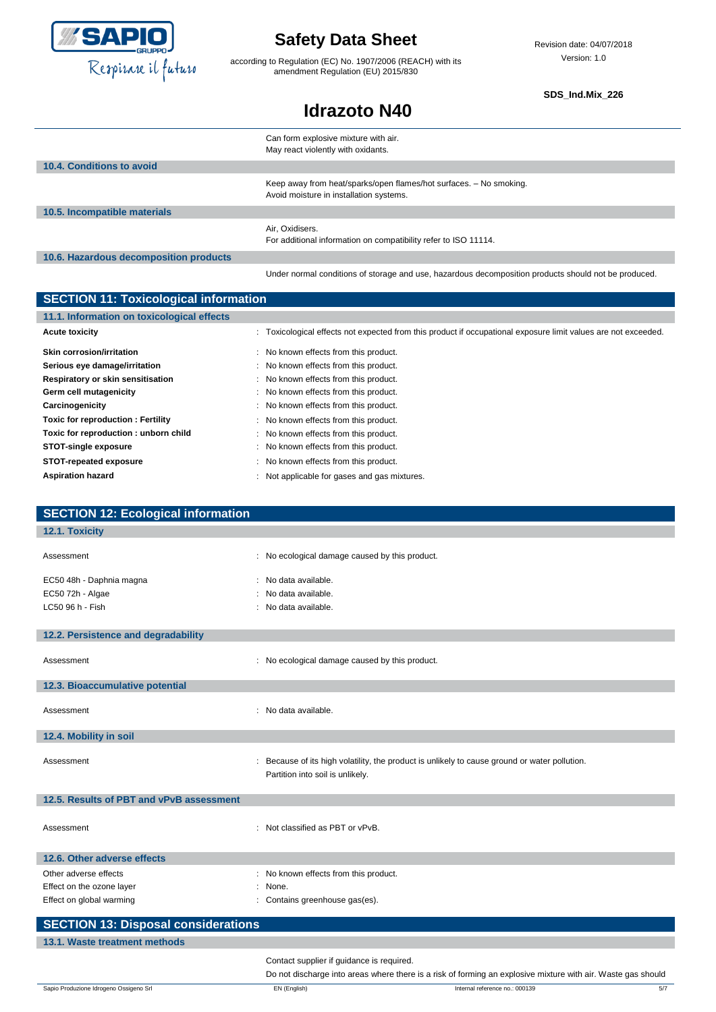

according to Regulation (EC) No. 1907/2006 (REACH) with its amendment Regulation (EU) 2015/830

Revision date: 04/07/2018 Version: 1.0

**SDS\_Ind.Mix\_226**

## **Idrazoto N40**

|                                        | Can form explosive mixture with air.<br>May react violently with oxidants.                                    |
|----------------------------------------|---------------------------------------------------------------------------------------------------------------|
| 10.4. Conditions to avoid              |                                                                                                               |
|                                        | Keep away from heat/sparks/open flames/hot surfaces. - No smoking.<br>Avoid moisture in installation systems. |
| 10.5. Incompatible materials           |                                                                                                               |
|                                        | Air, Oxidisers.<br>For additional information on compatibility refer to ISO 11114.                            |
| 10.6. Hazardous decomposition products |                                                                                                               |
|                                        | Under normal conditions of storage and use, hazardous decomposition products should not be produced.          |

| <b>SECTION 11: Toxicological information</b> |                                                                                                                |  |
|----------------------------------------------|----------------------------------------------------------------------------------------------------------------|--|
| 11.1. Information on toxicological effects   |                                                                                                                |  |
| <b>Acute toxicity</b>                        | : Toxicological effects not expected from this product if occupational exposure limit values are not exceeded. |  |
| <b>Skin corrosion/irritation</b>             | : No known effects from this product.                                                                          |  |
| Serious eye damage/irritation                | : No known effects from this product.                                                                          |  |
| Respiratory or skin sensitisation            | : No known effects from this product.                                                                          |  |
| Germ cell mutagenicity                       | : No known effects from this product.                                                                          |  |
| Carcinogenicity                              | : No known effects from this product.                                                                          |  |
| Toxic for reproduction: Fertility            | : No known effects from this product.                                                                          |  |
| Toxic for reproduction: unborn child         | : No known effects from this product.                                                                          |  |
| <b>STOT-single exposure</b>                  | : No known effects from this product.                                                                          |  |
| STOT-repeated exposure                       | : No known effects from this product.                                                                          |  |
| <b>Aspiration hazard</b>                     | Not applicable for gases and gas mixtures.                                                                     |  |

| <b>SECTION 12: Ecological information</b>    |                                                                                                                                 |
|----------------------------------------------|---------------------------------------------------------------------------------------------------------------------------------|
| 12.1. Toxicity                               |                                                                                                                                 |
| Assessment                                   | : No ecological damage caused by this product.                                                                                  |
| EC50 48h - Daphnia magna<br>EC50 72h - Algae | : No data available.<br>No data available.                                                                                      |
| LC50 96 h - Fish                             | : No data available.                                                                                                            |
| 12.2. Persistence and degradability          |                                                                                                                                 |
| Assessment                                   | : No ecological damage caused by this product.                                                                                  |
| 12.3. Bioaccumulative potential              |                                                                                                                                 |
| Assessment                                   | : No data available.                                                                                                            |
| 12.4. Mobility in soil                       |                                                                                                                                 |
| Assessment                                   | Because of its high volatility, the product is unlikely to cause ground or water pollution.<br>Partition into soil is unlikely. |
| 12.5. Results of PBT and vPvB assessment     |                                                                                                                                 |
| Assessment                                   | : Not classified as PBT or vPvB.                                                                                                |
| 12.6. Other adverse effects                  |                                                                                                                                 |
| Other adverse effects                        | : No known effects from this product.                                                                                           |
| Effect on the ozone layer                    | None.                                                                                                                           |
| Effect on global warming                     | : Contains greenhouse gas(es).                                                                                                  |
| <b>SECTION 13: Disposal considerations</b>   |                                                                                                                                 |
| 13.1. Waste treatment methods                |                                                                                                                                 |
|                                              | Contact supplier if guidance is required.                                                                                       |

Do not discharge into areas where there is a risk of forming an explosive mixture with air. Waste gas should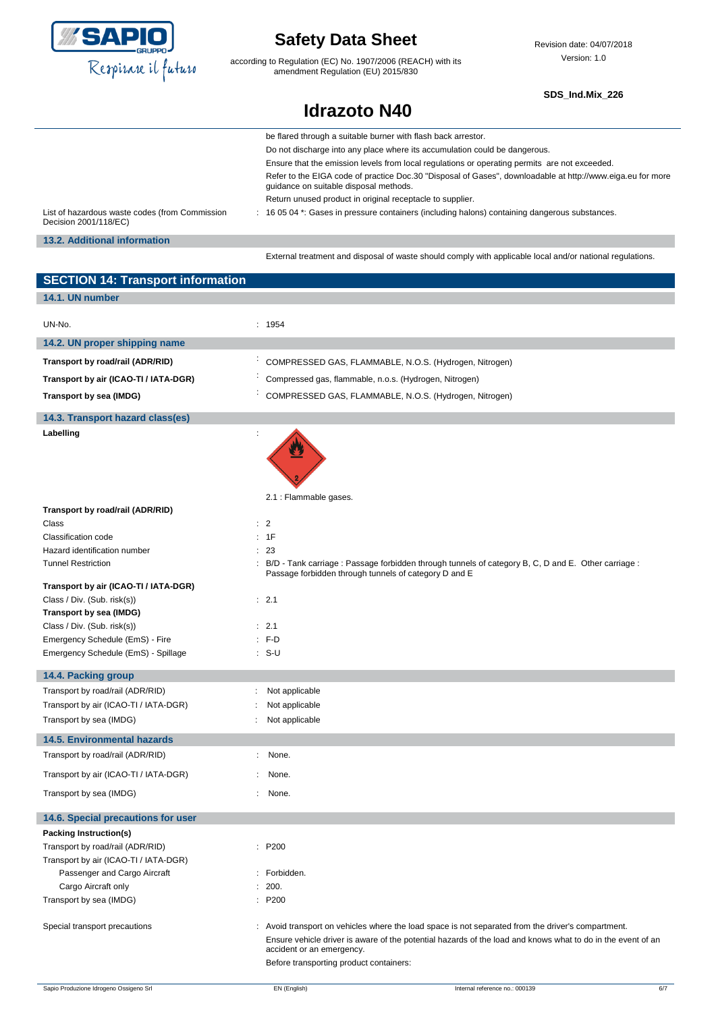

according to Regulation (EC) No. 1907/2006 (REACH) with its amendment Regulation (EU) 2015/830

Revision date: 04/07/2018 Version: 1.0

### **SDS\_Ind.Mix\_226**

## **Idrazoto N40**

|                                                                         | be flared through a suitable burner with flash back arrestor.                                                                                        |
|-------------------------------------------------------------------------|------------------------------------------------------------------------------------------------------------------------------------------------------|
|                                                                         | Do not discharge into any place where its accumulation could be dangerous.                                                                           |
|                                                                         | Ensure that the emission levels from local regulations or operating permits are not exceeded.                                                        |
|                                                                         | Refer to the EIGA code of practice Doc.30 "Disposal of Gases", downloadable at http://www.eiga.eu for more<br>quidance on suitable disposal methods. |
|                                                                         | Return unused product in original receptacle to supplier.                                                                                            |
| List of hazardous waste codes (from Commission<br>Decision 2001/118/EC) | : 16 05 04 *: Gases in pressure containers (including halons) containing dangerous substances.                                                       |
| 13.2. Additional information                                            |                                                                                                                                                      |
|                                                                         | External treatment and disposal of waste should comply with applicable local and/or national regulations.                                            |

| <b>SECTION 14: Transport information</b>  |                                                                                                                                                                                     |
|-------------------------------------------|-------------------------------------------------------------------------------------------------------------------------------------------------------------------------------------|
| 14.1. UN number                           |                                                                                                                                                                                     |
| UN-No.                                    | : 1954                                                                                                                                                                              |
| 14.2. UN proper shipping name             |                                                                                                                                                                                     |
| Transport by road/rail (ADR/RID)          | COMPRESSED GAS, FLAMMABLE, N.O.S. (Hydrogen, Nitrogen)                                                                                                                              |
| Transport by air (ICAO-TI / IATA-DGR)     | Compressed gas, flammable, n.o.s. (Hydrogen, Nitrogen)                                                                                                                              |
| Transport by sea (IMDG)                   | COMPRESSED GAS, FLAMMABLE, N.O.S. (Hydrogen, Nitrogen)                                                                                                                              |
|                                           |                                                                                                                                                                                     |
| 14.3. Transport hazard class(es)          |                                                                                                                                                                                     |
| Labelling                                 |                                                                                                                                                                                     |
|                                           | 2.1 : Flammable gases.                                                                                                                                                              |
| Transport by road/rail (ADR/RID)<br>Class | : 2                                                                                                                                                                                 |
| Classification code                       | 1F                                                                                                                                                                                  |
| Hazard identification number              | 23                                                                                                                                                                                  |
| <b>Tunnel Restriction</b>                 | : B/D - Tank carriage : Passage forbidden through tunnels of category B, C, D and E. Other carriage :<br>Passage forbidden through tunnels of category D and E                      |
| Transport by air (ICAO-TI / IATA-DGR)     |                                                                                                                                                                                     |
| Class / Div. (Sub. risk(s))               | : 2.1                                                                                                                                                                               |
| Transport by sea (IMDG)                   |                                                                                                                                                                                     |
| Class / Div. (Sub. risk(s))               | : 2.1                                                                                                                                                                               |
| Emergency Schedule (EmS) - Fire           | $: F-D$                                                                                                                                                                             |
| Emergency Schedule (EmS) - Spillage       | $: S-U$                                                                                                                                                                             |
| 14.4. Packing group                       |                                                                                                                                                                                     |
| Transport by road/rail (ADR/RID)          | Not applicable                                                                                                                                                                      |
| Transport by air (ICAO-TI / IATA-DGR)     | Not applicable                                                                                                                                                                      |
| Transport by sea (IMDG)                   | Not applicable                                                                                                                                                                      |
| <b>14.5. Environmental hazards</b>        |                                                                                                                                                                                     |
| Transport by road/rail (ADR/RID)          | None.                                                                                                                                                                               |
| Transport by air (ICAO-TI / IATA-DGR)     | None.                                                                                                                                                                               |
| Transport by sea (IMDG)                   | None.                                                                                                                                                                               |
| 14.6. Special precautions for user        |                                                                                                                                                                                     |
| Packing Instruction(s)                    |                                                                                                                                                                                     |
| Transport by road/rail (ADR/RID)          | : P200                                                                                                                                                                              |
| Transport by air (ICAO-TI / IATA-DGR)     |                                                                                                                                                                                     |
| Passenger and Cargo Aircraft              | : Forbidden.                                                                                                                                                                        |
| Cargo Aircraft only                       | 200.                                                                                                                                                                                |
| Transport by sea (IMDG)                   | : P200                                                                                                                                                                              |
| Special transport precautions             | : Avoid transport on vehicles where the load space is not separated from the driver's compartment.                                                                                  |
|                                           | Ensure vehicle driver is aware of the potential hazards of the load and knows what to do in the event of an<br>accident or an emergency.<br>Before transporting product containers: |